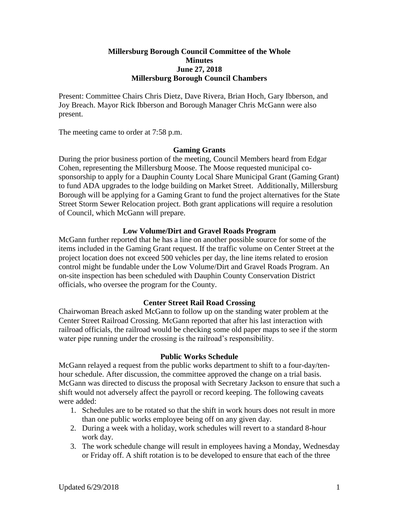### **Millersburg Borough Council Committee of the Whole Minutes June 27, 2018 Millersburg Borough Council Chambers**

Present: Committee Chairs Chris Dietz, Dave Rivera, Brian Hoch, Gary Ibberson, and Joy Breach. Mayor Rick Ibberson and Borough Manager Chris McGann were also present.

The meeting came to order at 7:58 p.m.

### **Gaming Grants**

During the prior business portion of the meeting, Council Members heard from Edgar Cohen, representing the Millersburg Moose. The Moose requested municipal cosponsorship to apply for a Dauphin County Local Share Municipal Grant (Gaming Grant) to fund ADA upgrades to the lodge building on Market Street. Additionally, Millersburg Borough will be applying for a Gaming Grant to fund the project alternatives for the State Street Storm Sewer Relocation project. Both grant applications will require a resolution of Council, which McGann will prepare.

### **Low Volume/Dirt and Gravel Roads Program**

McGann further reported that he has a line on another possible source for some of the items included in the Gaming Grant request. If the traffic volume on Center Street at the project location does not exceed 500 vehicles per day, the line items related to erosion control might be fundable under the Low Volume/Dirt and Gravel Roads Program. An on-site inspection has been scheduled with Dauphin County Conservation District officials, who oversee the program for the County.

### **Center Street Rail Road Crossing**

Chairwoman Breach asked McGann to follow up on the standing water problem at the Center Street Railroad Crossing. McGann reported that after his last interaction with railroad officials, the railroad would be checking some old paper maps to see if the storm water pipe running under the crossing is the railroad's responsibility.

#### **Public Works Schedule**

McGann relayed a request from the public works department to shift to a four-day/tenhour schedule. After discussion, the committee approved the change on a trial basis. McGann was directed to discuss the proposal with Secretary Jackson to ensure that such a shift would not adversely affect the payroll or record keeping. The following caveats were added:

- 1. Schedules are to be rotated so that the shift in work hours does not result in more than one public works employee being off on any given day.
- 2. During a week with a holiday, work schedules will revert to a standard 8-hour work day.
- 3. The work schedule change will result in employees having a Monday, Wednesday or Friday off. A shift rotation is to be developed to ensure that each of the three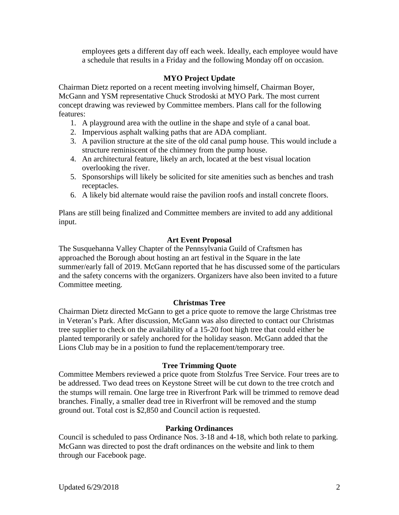employees gets a different day off each week. Ideally, each employee would have a schedule that results in a Friday and the following Monday off on occasion.

# **MYO Project Update**

Chairman Dietz reported on a recent meeting involving himself, Chairman Boyer, McGann and YSM representative Chuck Strodoski at MYO Park. The most current concept drawing was reviewed by Committee members. Plans call for the following features:

- 1. A playground area with the outline in the shape and style of a canal boat.
- 2. Impervious asphalt walking paths that are ADA compliant.
- 3. A pavilion structure at the site of the old canal pump house. This would include a structure reminiscent of the chimney from the pump house.
- 4. An architectural feature, likely an arch, located at the best visual location overlooking the river.
- 5. Sponsorships will likely be solicited for site amenities such as benches and trash receptacles.
- 6. A likely bid alternate would raise the pavilion roofs and install concrete floors.

Plans are still being finalized and Committee members are invited to add any additional input.

# **Art Event Proposal**

The Susquehanna Valley Chapter of the Pennsylvania Guild of Craftsmen has approached the Borough about hosting an art festival in the Square in the late summer/early fall of 2019. McGann reported that he has discussed some of the particulars and the safety concerns with the organizers. Organizers have also been invited to a future Committee meeting.

# **Christmas Tree**

Chairman Dietz directed McGann to get a price quote to remove the large Christmas tree in Veteran's Park. After discussion, McGann was also directed to contact our Christmas tree supplier to check on the availability of a 15-20 foot high tree that could either be planted temporarily or safely anchored for the holiday season. McGann added that the Lions Club may be in a position to fund the replacement/temporary tree.

# **Tree Trimming Quote**

Committee Members reviewed a price quote from Stolzfus Tree Service. Four trees are to be addressed. Two dead trees on Keystone Street will be cut down to the tree crotch and the stumps will remain. One large tree in Riverfront Park will be trimmed to remove dead branches. Finally, a smaller dead tree in Riverfront will be removed and the stump ground out. Total cost is \$2,850 and Council action is requested.

# **Parking Ordinances**

Council is scheduled to pass Ordinance Nos. 3-18 and 4-18, which both relate to parking. McGann was directed to post the draft ordinances on the website and link to them through our Facebook page.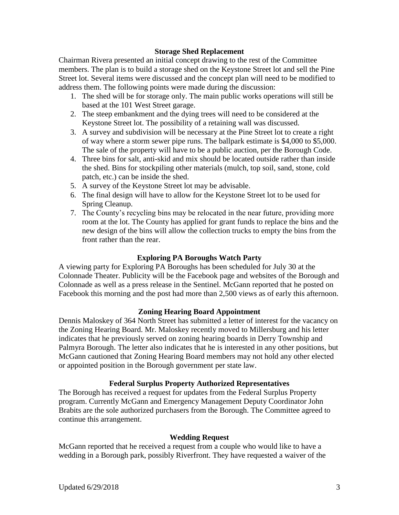### **Storage Shed Replacement**

Chairman Rivera presented an initial concept drawing to the rest of the Committee members. The plan is to build a storage shed on the Keystone Street lot and sell the Pine Street lot. Several items were discussed and the concept plan will need to be modified to address them. The following points were made during the discussion:

- 1. The shed will be for storage only. The main public works operations will still be based at the 101 West Street garage.
- 2. The steep embankment and the dying trees will need to be considered at the Keystone Street lot. The possibility of a retaining wall was discussed.
- 3. A survey and subdivision will be necessary at the Pine Street lot to create a right of way where a storm sewer pipe runs. The ballpark estimate is \$4,000 to \$5,000. The sale of the property will have to be a public auction, per the Borough Code.
- 4. Three bins for salt, anti-skid and mix should be located outside rather than inside the shed. Bins for stockpiling other materials (mulch, top soil, sand, stone, cold patch, etc.) can be inside the shed.
- 5. A survey of the Keystone Street lot may be advisable.
- 6. The final design will have to allow for the Keystone Street lot to be used for Spring Cleanup.
- 7. The County's recycling bins may be relocated in the near future, providing more room at the lot. The County has applied for grant funds to replace the bins and the new design of the bins will allow the collection trucks to empty the bins from the front rather than the rear.

### **Exploring PA Boroughs Watch Party**

A viewing party for Exploring PA Boroughs has been scheduled for July 30 at the Colonnade Theater. Publicity will be the Facebook page and websites of the Borough and Colonnade as well as a press release in the Sentinel. McGann reported that he posted on Facebook this morning and the post had more than 2,500 views as of early this afternoon.

### **Zoning Hearing Board Appointment**

Dennis Maloskey of 364 North Street has submitted a letter of interest for the vacancy on the Zoning Hearing Board. Mr. Maloskey recently moved to Millersburg and his letter indicates that he previously served on zoning hearing boards in Derry Township and Palmyra Borough. The letter also indicates that he is interested in any other positions, but McGann cautioned that Zoning Hearing Board members may not hold any other elected or appointed position in the Borough government per state law.

### **Federal Surplus Property Authorized Representatives**

The Borough has received a request for updates from the Federal Surplus Property program. Currently McGann and Emergency Management Deputy Coordinator John Brabits are the sole authorized purchasers from the Borough. The Committee agreed to continue this arrangement.

### **Wedding Request**

McGann reported that he received a request from a couple who would like to have a wedding in a Borough park, possibly Riverfront. They have requested a waiver of the